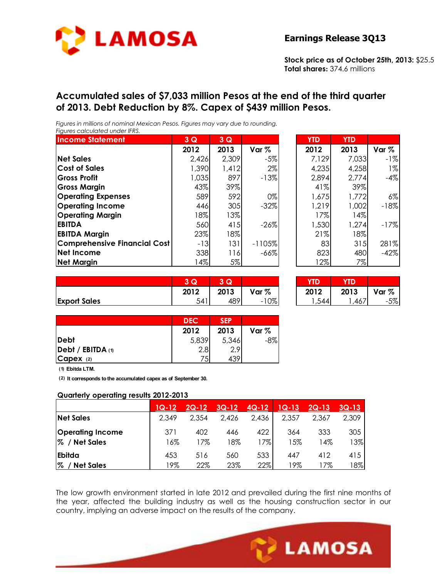

**Stock price as of October 25th, 2013:** \$25.5 **Total shares:** 374.6 millions

## **Accumulated sales of \$7,033 million Pesos at the end of the third quarter of 2013. Debt Reduction by 8%. Capex of \$439 million Pesos.**

*Figures in millions of nominal Mexican Pesos. Figures may vary due to rounding. Figures calculated under IFRS.* 

| <b>Income Statement</b>      | 3Q    | 3Q    |          | <b>YTD</b> | <b>YTD</b> |         |
|------------------------------|-------|-------|----------|------------|------------|---------|
|                              | 2012  | 2013  | Var %    | 2012       | 2013       | Var $%$ |
| <b>Net Sales</b>             | 2,426 | 2,309 | $-5%$    | 7,129      | 7,033      | $-1%$   |
| <b>Cost of Sales</b>         | 1,390 | 1,412 | $2\%$    | 4,235      | 4,258      | $1\%$   |
| <b>Gross Profit</b>          | 1,035 | 897   | $-13%$   | 2,894      | 2,774      | $-4%$   |
| <b>Gross Margin</b>          | 43%   | 39%   |          | 41%        | 39%        |         |
| <b>Operating Expenses</b>    | 589   | 592   | $0\%$    | 1,675      | 1,772      | 6%      |
| <b>Operating Income</b>      | 446   | 305   | $-32%$   | 1,219      | 1,002      | $-18%$  |
| <b>Operating Margin</b>      | 18%   | 13%   |          | 17%        | 14%        |         |
| <b>EBITDA</b>                | 560   | 415   | $-26%$   | 1,530      | 1,274      | $-17%$  |
| <b>EBITDA Margin</b>         | 23%   | 18%   |          | 21%        | 18%        |         |
| Comprehensive Financial Cost | $-13$ | 131   | $-1105%$ | 83         | 315        | 281%    |
| <b>Net Income</b>            | 338   | 116   | $-66%$   | 823        | 480        | $-42%$  |
| <b>Net Margin</b>            | 4%    | 5%    |          | 12%        | 7%         |         |

| YTD   | YTD   |         |
|-------|-------|---------|
| 2012  | 2013  | Var $%$ |
| 7,129 | 7,033 | -1%     |
| 4,235 | 4,258 | $1\%$   |
| 2,894 | 2,774 | -4%     |
| 41%   | 39%   |         |
| 1,675 | 1,772 | $6\%$   |
| 1,219 | 1,002 | $-18%$  |
| 17%   | 14%   |         |
| 1,530 | 1,274 | $-17%$  |
| 21%   | 18%   |         |
| 83    | 315   | 281%    |
| 823   | 480   | -42%    |
| 12%   | 7%    |         |

|                     | $\overline{\phantom{a}}$<br>Q | s.           |          | <b>STATISTICS</b> |      |       |
|---------------------|-------------------------------|--------------|----------|-------------------|------|-------|
|                     | 2012                          | 2013         | Var %    | 2012              | 2013 | Var % |
| <b>Export Sales</b> | 541                           | $\sim$<br>40 | 10%<br>- | -                 | 407  | $-5%$ |

| 3    | Q    |        |      |      |       |
|------|------|--------|------|------|-------|
| 2012 | 2013 | Var %  | 2012 | 2013 | Var % |
| 54'  | 100  | $-10%$ | 544  | .46  | $-5%$ |

|                                  | <b>DEC</b>       | <b>SEP</b> |         |
|----------------------------------|------------------|------------|---------|
|                                  | 2012             | 2013       | Var $%$ |
| <b>Debt</b>                      | 5,839            | 5,346      | $-8%$   |
| $\vert$ Debt / EBITDA $\vert$ 1) | 2.8 <sub>l</sub> | 2.9        |         |
| Capex (2)                        | 75               | 439        |         |

**(1) Ebitda LTM.**

**(2) It corresponds to the accumulated capex as of September 30.**

#### **Quarterly operating results 2012-2013**

|                                              | $1Q-12$    | $2Q-12$    | $3Q-12$    | $4Q-12$    | $1Q-13$   | $2Q-13$    | $3Q-13$    |
|----------------------------------------------|------------|------------|------------|------------|-----------|------------|------------|
| <b>Net Sales</b>                             | 2,349      | 2,354      | 2,426      | 2,436      | 2,357     | 2.367      | 2,309      |
| <b>Operating Income</b><br>1%<br>/ Net Sales | 371<br>16% | 402<br>17% | 446<br>18% | 422<br>17% | 364<br>5% | 333<br>14% | 305<br>13% |
| <b>Ebitda</b><br>70<br><b>Net Sales</b>      | 453<br>19% | 516<br>22% | 560<br>23% | 533<br>22% | 447<br>9% | 412<br>7%  | 415<br>18% |

The low growth environment started in late 2012 and prevailed during the first nine months of the year, affected the building industry as well as the housing construction sector in our country, implying an adverse impact on the results of the company.

Ī

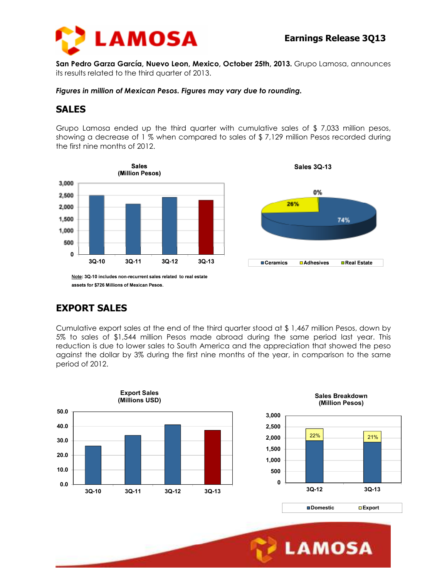



**San Pedro Garza García, Nuevo Leon, Mexico, October 25th, 2013.** Grupo Lamosa, announces its results related to the third quarter of 2013.

*Figures in million of Mexican Pesos. Figures may vary due to rounding.* 

## **SALES**

Grupo Lamosa ended up the third quarter with cumulative sales of \$ 7,033 million pesos, showing a decrease of 1 % when compared to sales of \$ 7,129 million Pesos recorded during the first nine months of 2012.



assets for \$726 Millions of Mexican Pesos.

# **EXPORT SALES**

Cumulative export sales at the end of the third quarter stood at \$ 1,467 million Pesos, down by 5% to sales of \$1,544 million Pesos made abroad during the same period last year. This reduction is due to lower sales to South America and the appreciation that showed the peso against the dollar by 3% during the first nine months of the year, in comparison to the same period of 2012.

Ī





**LAMOSA**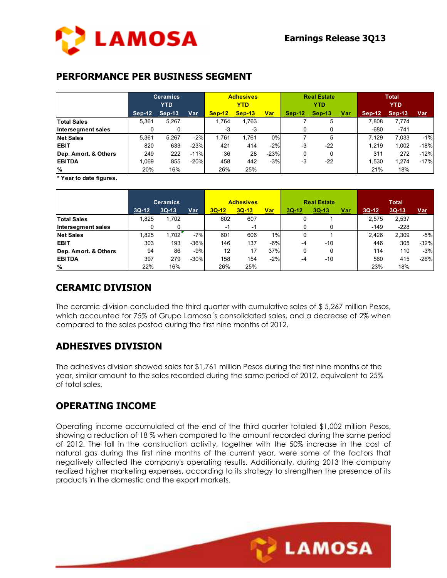

#### **PERFORMANCE PER BUSINESS SEGMENT**

|                      | <b>Ceramics</b><br><b>YTD</b> |          |        |          | <b>Adhesives</b><br><b>YTD</b> |            | <b>Real Estate</b><br><b>YTD</b> |          |            | <b>Total</b><br><b>YTD</b> |          |            |
|----------------------|-------------------------------|----------|--------|----------|--------------------------------|------------|----------------------------------|----------|------------|----------------------------|----------|------------|
|                      | $Sep-12$                      | $Sep-13$ | Var    | $Sep-12$ | $Sep-13$                       | <u>Var</u> | $Sep-12$                         | $Sep-13$ | <u>Var</u> | $Sep-12$                   | $Sep-13$ | <u>Var</u> |
| <b>Total Sales</b>   | 5.361                         | 5,267    |        | 1.764    | 1.763                          |            |                                  | 5        |            | 7.808                      | 7.774    |            |
| Intersegment sales   |                               |          |        | -3       | -3                             |            |                                  |          |            | $-680$                     | $-741$   |            |
| <b>Net Sales</b>     | 5.361                         | 5.267    | $-2%$  | 1.761    | 1.761                          | 0%         |                                  | 5        |            | 7.129                      | 7.033    | $-1%$      |
| <b>EBIT</b>          | 820                           | 633      | $-23%$ | 421      | 414                            | $-2%$      | $-3$                             | $-22$    |            | 1.219                      | 1,002    | $-18%$     |
| Dep. Amort. & Others | 249                           | 222      | $-11%$ | 36       | 28                             | $-23%$     |                                  | 0        |            | 311                        | 272      | $-12%$     |
| <b>EBITDA</b>        | 1.069                         | 855      | $-20%$ | 458      | 442                            | $-3%$      | $-3$                             | $-22$    |            | 1.530                      | 1,274    | $-17%$     |
| $\%$                 | 20%                           | 16%      |        | 26%      | 25%                            |            |                                  |          |            | 21%                        | 18%      |            |

**\* Year to date figures.**

|                      | <b>Ceramics</b> |         |        | <b>Adhesives</b> |         |            |         | <b>Real Estate</b> |            | <b>Total</b> |         |            |  |
|----------------------|-----------------|---------|--------|------------------|---------|------------|---------|--------------------|------------|--------------|---------|------------|--|
|                      | $3Q-12$         | $3Q-13$ | Var    | $3Q-12$          | $3Q-13$ | <u>Var</u> | $3Q-12$ | $3Q-13$            | <u>Var</u> | $3Q-12$      | $3Q-13$ | <u>Var</u> |  |
| <b>Total Sales</b>   | 1.825           | 1,702   |        | 602              | 607     |            | 0       |                    |            | 2.575        | 2,537   |            |  |
| Intersegment sales   |                 |         |        | -1               | -1      |            |         |                    |            | $-149$       | $-228$  |            |  |
| <b>Net Sales</b>     | 1.825           | 1.702   | $-7%$  | 601              | 606     | 1%         | 0       |                    |            | 2.426        | 2.309   | $-5%$      |  |
| <b>IEBIT</b>         | 303             | 193     | $-36%$ | 146              | 137     | $-6%$      | $-4$    | $-10$              |            | 446          | 305     | $-32%$     |  |
| Dep. Amort. & Others | 94              | 86      | $-9%$  | 12               | 17      | 37%        | 0       | 0                  |            | 114          | 110     | $-3%$      |  |
| <b>EBITDA</b>        | 397             | 279     | $-30%$ | 158              | 154     | $-2%$      | -4      | $-10$              |            | 560          | 415     | $-26%$     |  |
| $\frac{9}{6}$        | 22%             | 16%     |        | 26%              | 25%     |            |         |                    |            | 23%          | 18%     |            |  |

### **CERAMIC DIVISION**

The ceramic division concluded the third quarter with cumulative sales of \$ 5,267 million Pesos, which accounted for 75% of Grupo Lamosa´s consolidated sales, and a decrease of 2% when compared to the sales posted during the first nine months of 2012.

## **ADHESIVES DIVISION**

The adhesives division showed sales for \$1,761 million Pesos during the first nine months of the year, similar amount to the sales recorded during the same period of 2012, equivalent to 25% of total sales.

#### **OPERATING INCOME**

Operating income accumulated at the end of the third quarter totaled \$1,002 million Pesos, showing a reduction of 18 % when compared to the amount recorded during the same period of 2012. The fall in the construction activity, together with the 50% increase in the cost of natural gas during the first nine months of the current year, were some of the factors that negatively affected the company's operating results. Additionally, during 2013 the company realized higher marketing expenses, according to its strategy to strengthen the presence of its products in the domestic and the export markets.

Ī

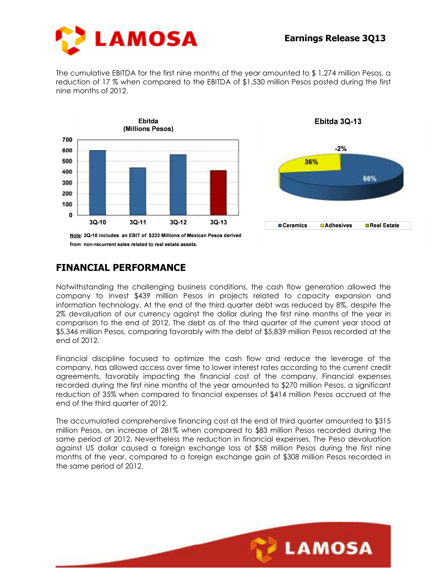

The cumulative EBITDA for the first nine months of the year amounted to \$ 1,274 million Pesos, a reduction of 17 % when compared to the EBITDA of \$1,530 million Pesos posted during the first nine months of 2012.





#### **FINANCIAL PERFORMANCE**

Notwithstanding the challenging business conditions, the cash flow generation allowed the company to invest \$439 million Pesos in projects related to capacity expansion and information technology. At the end of the third quarter debt was reduced by 8%, despite the 2% devaluation of our currency against the dollar during the first nine months of the year in comparison to the end of 2012. The debt as of the third quarter of the current year stood at \$5,346 million Pesos, comparing favorably with the debt of \$5,839 million Pesos recorded at the end of 2012.

Financial discipline focused to optimize the cash flow and reduce the leverage of the company, has allowed access over time to lower interest rates according to the current credit agreements, favorably impacting the financial cost of the company. Financial expenses recorded during the first nine months of the year amounted to \$270 million Pesos, a significant reduction of 35% when compared to financial expenses of \$414 million Pesos accrued at the end of the third quarter of 2012.

The accumulated comprehensive financing cost at the end of third quarter amounted to \$315 million Pesos, an increase of 281% when compared to \$83 million Pesos recorded during the same period of 2012. Nevertheless the reduction in financial expenses, The Peso devaluation against US dollar caused a foreign exchange loss of \$58 million Pesos during the first nine months of the year, compared to a foreign exchange gain of \$308 million Pesos recorded in the same period of 2012.

Ī